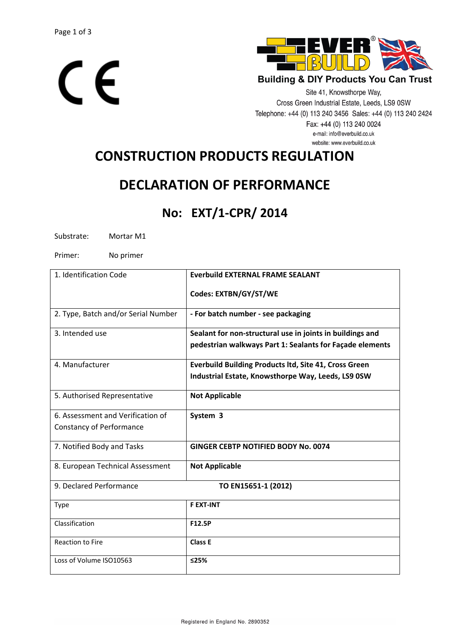



**Building & DIY Products You Can Trust** 

Site 41, Knowsthorpe Way, Cross Green Industrial Estate, Leeds, LS9 0SW Telephone: +44 (0) 113 240 3456 Sales: +44 (0) 113 240 2424 Fax: +44 (0) 113 240 0024 e-mail: info@everbuild.co.uk website: www.everbuild.co.uk

# **CONSTRUCTION PRODUCTS REGULATION**

## **DECLARATION OF PERFORMANCE**

### **No: EXT/1-CPR/ 2014**

Substrate: Mortar M1

Primer: No primer

| 1. Identification Code              | <b>Everbuild EXTERNAL FRAME SEALANT</b>                      |
|-------------------------------------|--------------------------------------------------------------|
|                                     | Codes: EXTBN/GY/ST/WE                                        |
| 2. Type, Batch and/or Serial Number | - For batch number - see packaging                           |
| 3. Intended use                     | Sealant for non-structural use in joints in buildings and    |
|                                     | pedestrian walkways Part 1: Sealants for Façade elements     |
| 4. Manufacturer                     | <b>Everbuild Building Products ltd, Site 41, Cross Green</b> |
|                                     | Industrial Estate, Knowsthorpe Way, Leeds, LS9 0SW           |
| 5. Authorised Representative        | <b>Not Applicable</b>                                        |
| 6. Assessment and Verification of   | System 3                                                     |
| <b>Constancy of Performance</b>     |                                                              |
| 7. Notified Body and Tasks          | <b>GINGER CEBTP NOTIFIED BODY No. 0074</b>                   |
| 8. European Technical Assessment    | <b>Not Applicable</b>                                        |
| 9. Declared Performance             | TO EN15651-1 (2012)                                          |
| <b>Type</b>                         | <b>F EXT-INT</b>                                             |
| Classification                      | F12.5P                                                       |
| <b>Reaction to Fire</b>             | <b>Class E</b>                                               |
| Loss of Volume ISO10563             | ≤25%                                                         |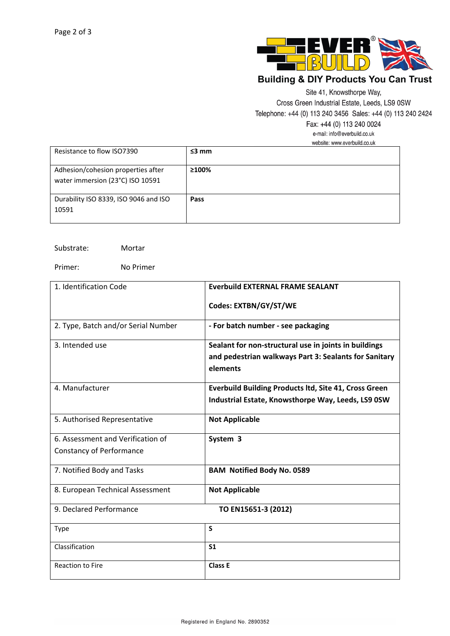

### **Building & DIY Products You Can Trust**

Site 41, Knowsthorpe Way,

Cross Green Industrial Estate, Leeds, LS9 0SW

Telephone: +44 (0) 113 240 3456 Sales: +44 (0) 113 240 2424

Fax: +44 (0) 113 240 0024

e-mail: info@everbuild.co.uk website: www.everbuild.co.uk

|                                                                        | 1100010. 111111.0101band.00.an |  |
|------------------------------------------------------------------------|--------------------------------|--|
| Resistance to flow ISO7390                                             | $\leq$ 3 mm                    |  |
| Adhesion/cohesion properties after<br>water immersion (23°C) ISO 10591 | ≥100%                          |  |
| Durability ISO 8339, ISO 9046 and ISO<br>10591                         | Pass                           |  |

Substrate: Mortar

Primer: No Primer

| 1. Identification Code              | <b>Everbuild EXTERNAL FRAME SEALANT</b>                           |
|-------------------------------------|-------------------------------------------------------------------|
|                                     | Codes: EXTBN/GY/ST/WE                                             |
| 2. Type, Batch and/or Serial Number | - For batch number - see packaging                                |
| 3. Intended use                     | Sealant for non-structural use in joints in buildings             |
|                                     | and pedestrian walkways Part 3: Sealants for Sanitary<br>elements |
|                                     |                                                                   |
| 4. Manufacturer                     | <b>Everbuild Building Products ltd, Site 41, Cross Green</b>      |
|                                     | Industrial Estate, Knowsthorpe Way, Leeds, LS9 0SW                |
| 5. Authorised Representative        | <b>Not Applicable</b>                                             |
| 6. Assessment and Verification of   | System 3                                                          |
| <b>Constancy of Performance</b>     |                                                                   |
| 7. Notified Body and Tasks          | <b>BAM Notified Body No. 0589</b>                                 |
| 8. European Technical Assessment    | <b>Not Applicable</b>                                             |
| 9. Declared Performance             | TO EN15651-3 (2012)                                               |
| <b>Type</b>                         | S                                                                 |
| Classification                      | S <sub>1</sub>                                                    |
| <b>Reaction to Fire</b>             | Class E                                                           |